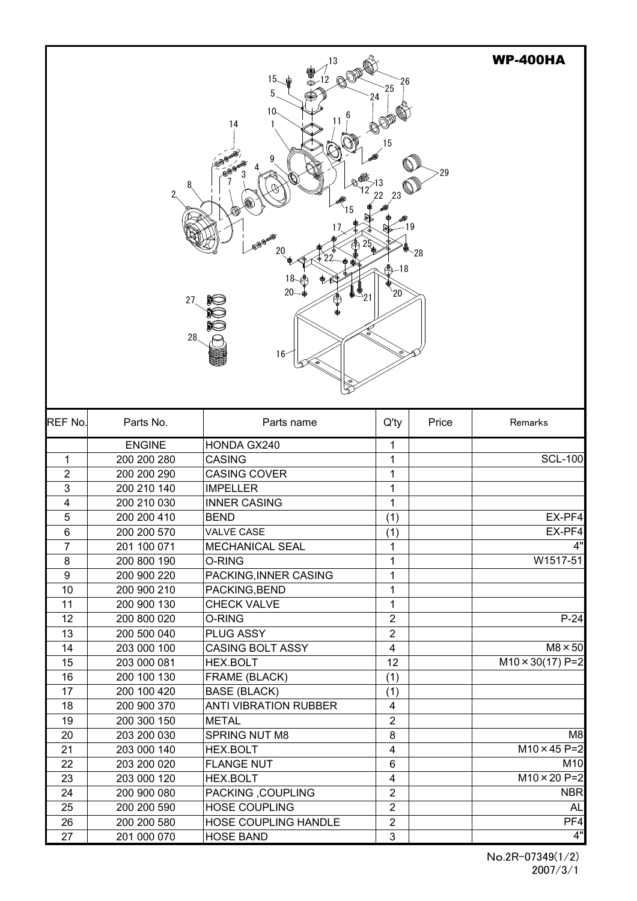

| REF No.        | Parts No.     | Parts name                   | $Q'$ ty                 | Price | Remarks                 |
|----------------|---------------|------------------------------|-------------------------|-------|-------------------------|
|                | <b>ENGINE</b> | HONDA GX240                  | 1                       |       |                         |
| 1              | 200 200 280   | <b>CASING</b>                | 1                       |       | <b>SCL-100</b>          |
| $\overline{2}$ | 200 200 290   | <b>CASING COVER</b>          | 1                       |       |                         |
| 3              | 200 210 140   | <b>IMPELLER</b>              | 1                       |       |                         |
| 4              | 200 210 030   | <b>INNER CASING</b>          | 1                       |       |                         |
| 5              | 200 200 410   | <b>BEND</b>                  | (1)                     |       | $EX-PF4$                |
| 6              | 200 200 570   | <b>VALVE CASE</b>            | (1)                     |       | EX-PF4                  |
| 7              | 201 100 071   | <b>MECHANICAL SEAL</b>       | 1                       |       | 4"                      |
| 8              | 200 800 190   | O-RING                       | 1                       |       | W1517-51                |
| 9              | 200 900 220   | PACKING, INNER CASING        | 1                       |       |                         |
| 10             | 200 900 210   | PACKING, BEND                | 1                       |       |                         |
| 11             | 200 900 130   | <b>CHECK VALVE</b>           | 1                       |       |                         |
| 12             | 200 800 020   | O-RING                       | $\overline{2}$          |       | $P-24$                  |
| 13             | 200 500 040   | PLUG ASSY                    | $\overline{2}$          |       |                         |
| 14             | 203 000 100   | <b>CASING BOLT ASSY</b>      | 4                       |       | $M8 \times 50$          |
| 15             | 203 000 081   | HEX.BOLT                     | 12                      |       | $M10 \times 30(17)$ P=2 |
| 16             | 200 100 130   | FRAME (BLACK)                | (1)                     |       |                         |
| 17             | 200 100 420   | <b>BASE (BLACK)</b>          | (1)                     |       |                         |
| 18             | 200 900 370   | <b>ANTI VIBRATION RUBBER</b> | $\overline{\mathbf{4}}$ |       |                         |
| 19             | 200 300 150   | <b>METAL</b>                 | $\overline{2}$          |       |                         |
| 20             | 203 200 030   | <b>SPRING NUT M8</b>         | 8                       |       | M8                      |
| 21             | 203 000 140   | HEX.BOLT                     | 4                       |       | $M10 \times 45$ P=2     |
| 22             | 203 200 020   | <b>FLANGE NUT</b>            | 6                       |       | M10                     |
| 23             | 203 000 120   | HEX.BOLT                     | 4                       |       | $M10 \times 20$ P=2     |
| 24             | 200 900 080   | PACKING, COUPLING            | $\overline{2}$          |       | <b>NBR</b>              |
| 25             | 200 200 590   | <b>HOSE COUPLING</b>         | $\overline{2}$          |       | AL                      |
| 26             | 200 200 580   | <b>HOSE COUPLING HANDLE</b>  | $\overline{2}$          |       | PF4                     |
| 27             | 201 000 070   | <b>HOSE BAND</b>             | 3                       |       | 4"                      |